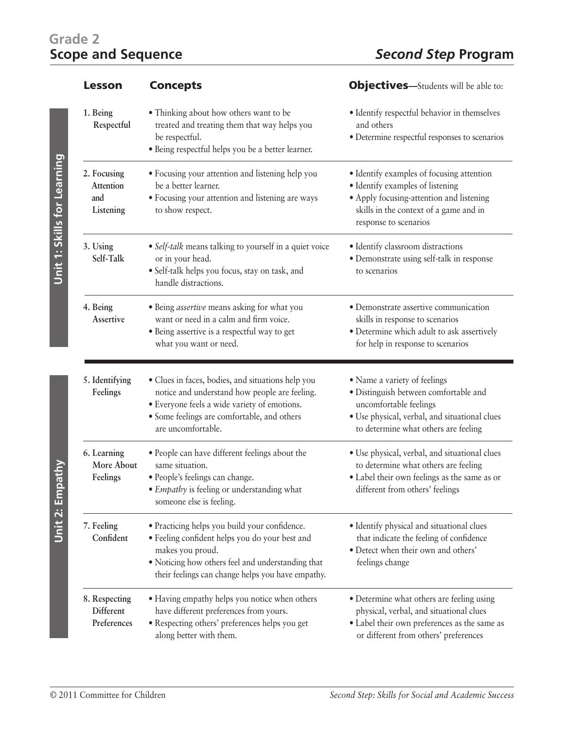## **Grade 2**

|                             | <b>Lesson</b>                                | <b>Concepts</b>                                                                                                                                                                                                               | <b>Objectives</b> —Students will be able to:                                                                                                                                                 |
|-----------------------------|----------------------------------------------|-------------------------------------------------------------------------------------------------------------------------------------------------------------------------------------------------------------------------------|----------------------------------------------------------------------------------------------------------------------------------------------------------------------------------------------|
|                             | 1. Being<br>Respectful                       | • Thinking about how others want to be<br>treated and treating them that way helps you<br>be respectful.<br>· Being respectful helps you be a better learner.                                                                 | • Identify respectful behavior in themselves<br>and others<br>· Determine respectful responses to scenarios                                                                                  |
| Unit T: Skills for Learning | 2. Focusing<br>Attention<br>and<br>Listening | • Focusing your attention and listening help you<br>be a better learner.<br>• Focusing your attention and listening are ways<br>to show respect.                                                                              | • Identify examples of focusing attention<br>• Identify examples of listening<br>• Apply focusing-attention and listening<br>skills in the context of a game and in<br>response to scenarios |
|                             | 3. Using<br>Self-Talk                        | • Self-talk means talking to yourself in a quiet voice<br>or in your head.<br>· Self-talk helps you focus, stay on task, and<br>handle distractions.                                                                          | · Identify classroom distractions<br>· Demonstrate using self-talk in response<br>to scenarios                                                                                               |
|                             | 4. Being<br>Assertive                        | • Being <i>assertive</i> means asking for what you<br>want or need in a calm and firm voice.<br>· Being assertive is a respectful way to get<br>what you want or need.                                                        | · Demonstrate assertive communication<br>skills in response to scenarios<br>· Determine which adult to ask assertively<br>for help in response to scenarios                                  |
|                             | 5. Identifying<br>Feelings                   | · Clues in faces, bodies, and situations help you<br>notice and understand how people are feeling.<br>· Everyone feels a wide variety of emotions.<br>• Some feelings are comfortable, and others<br>are uncomfortable.       | • Name a variety of feelings<br>· Distinguish between comfortable and<br>uncomfortable feelings<br>· Use physical, verbal, and situational clues<br>to determine what others are feeling     |
| Nuitedu                     | 6. Learning<br>More About<br>Feelings        | · People can have different feelings about the<br>same situation.<br>· People's feelings can change.<br>• Empathy is feeling or understanding what<br>someone else is feeling.                                                | · Use physical, verbal, and situational clues<br>to determine what others are feeling<br>· Label their own feelings as the same as or<br>different from others' feelings                     |
| Unit 2: En                  | 7. Feeling<br>Confident                      | · Practicing helps you build your confidence.<br>· Feeling confident helps you do your best and<br>makes you proud.<br>· Noticing how others feel and understanding that<br>their feelings can change helps you have empathy. | • Identify physical and situational clues<br>that indicate the feeling of confidence<br>· Detect when their own and others'<br>feelings change                                               |
|                             | 8. Respecting<br>Different<br>Preferences    | • Having empathy helps you notice when others<br>have different preferences from yours.<br>• Respecting others' preferences helps you get<br>along better with them.                                                          | • Determine what others are feeling using<br>physical, verbal, and situational clues<br>• Label their own preferences as the same as<br>or different from others' preferences                |

Unit 2: Empathy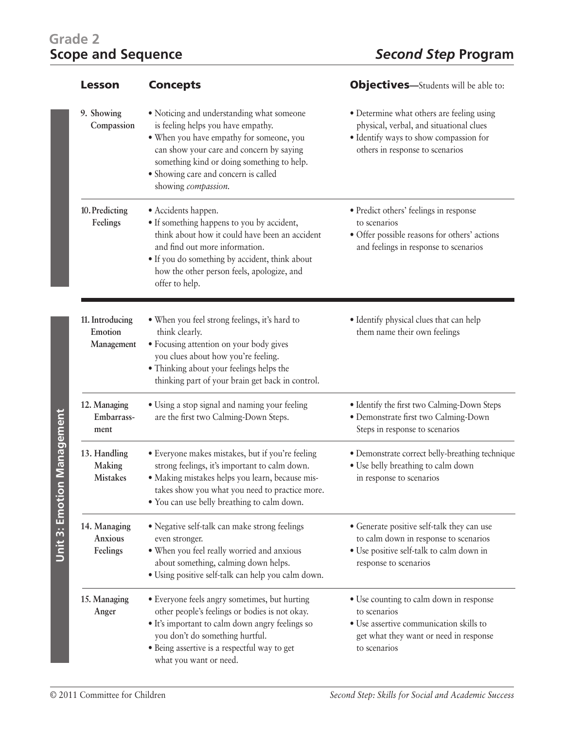## **Grade 2**

| <b>Lesson</b>                             | <b>Concepts</b>                                                                                                                                                                                                                                                                      | <b>Objectives</b> —Students will be able to:                                                                                                                      |
|-------------------------------------------|--------------------------------------------------------------------------------------------------------------------------------------------------------------------------------------------------------------------------------------------------------------------------------------|-------------------------------------------------------------------------------------------------------------------------------------------------------------------|
| 9. Showing<br>Compassion                  | • Noticing and understanding what someone<br>is feeling helps you have empathy.<br>. When you have empathy for someone, you<br>can show your care and concern by saying<br>something kind or doing something to help.<br>• Showing care and concern is called<br>showing compassion. | • Determine what others are feeling using<br>physical, verbal, and situational clues<br>· Identify ways to show compassion for<br>others in response to scenarios |
| 10. Predicting<br>Feelings                | • Accidents happen.<br>• If something happens to you by accident,<br>think about how it could have been an accident<br>and find out more information.<br>• If you do something by accident, think about<br>how the other person feels, apologize, and<br>offer to help.              | • Predict others' feelings in response<br>to scenarios<br>· Offer possible reasons for others' actions<br>and feelings in response to scenarios                   |
| 11. Introducing<br>Emotion<br>Management  | • When you feel strong feelings, it's hard to<br>think clearly.<br>· Focusing attention on your body gives<br>you clues about how you're feeling.<br>• Thinking about your feelings helps the<br>thinking part of your brain get back in control.                                    | • Identify physical clues that can help<br>them name their own feelings                                                                                           |
| 12. Managing<br>Embarrass-<br>ment        | · Using a stop signal and naming your feeling<br>are the first two Calming-Down Steps.                                                                                                                                                                                               | · Identify the first two Calming-Down Steps<br>· Demonstrate first two Calming-Down<br>Steps in response to scenarios                                             |
| 13. Handling<br>Making<br><b>Mistakes</b> | · Everyone makes mistakes, but if you're feeling<br>strong feelings, it's important to calm down.<br>· Making mistakes helps you learn, because mis-<br>takes show you what you need to practice more.<br>• You can use belly breathing to calm down.                                | • Demonstrate correct belly-breathing technique<br>· Use belly breathing to calm down<br>in response to scenarios                                                 |
| 14. Managing<br>Anxious<br>Feelings       | • Negative self-talk can make strong feelings<br>even stronger.<br>· When you feel really worried and anxious<br>about something, calming down helps.<br>· Using positive self-talk can help you calm down.                                                                          | • Generate positive self-talk they can use<br>to calm down in response to scenarios<br>• Use positive self-talk to calm down in<br>response to scenarios          |
| 15. Managing<br>Anger                     | · Everyone feels angry sometimes, but hurting<br>other people's feelings or bodies is not okay.<br>• It's important to calm down angry feelings so<br>you don't do something hurtful.<br>• Being assertive is a respectful way to get<br>what you want or need.                      | • Use counting to calm down in response<br>to scenarios<br>• Use assertive communication skills to<br>get what they want or need in response<br>to scenarios      |